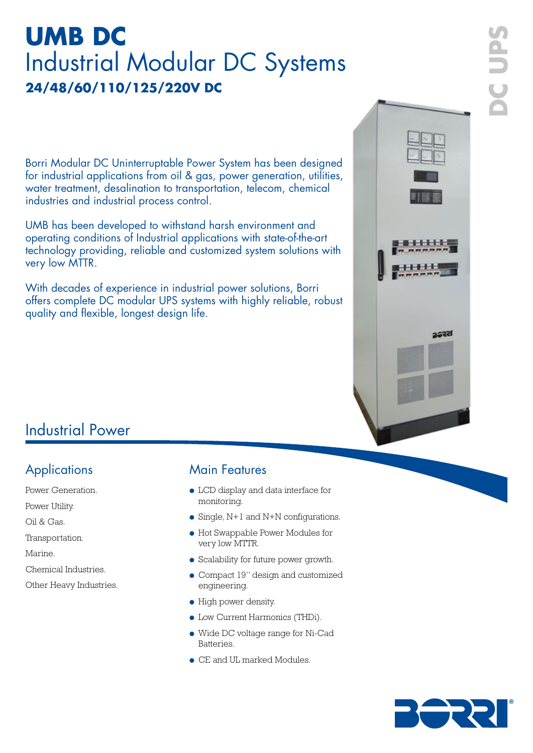# **UMB DC** Industrial Modular DC Systems **24/48/60/110/125/220V DC**

Borri Modular DC Uninterruptable Power System has been designed for industrial applications from oil & gas, power generation, utilities, water treatment, desalination to transportation, telecom, chemical industries and industrial process control.

UMB has been developed to withstand harsh environment and operating conditions of Industrial applications with state-of-the-art technology providing, reliable and customized system solutions with very low MTTR.

With decades of experience in industrial power solutions, Borri offers complete DC modular UPS systems with highly reliable, robust quality and flexible, longest design life.



## Industrial Power

- Power Generation.
- Power Utility.
- Oil & Gas.
- Transportation.
- Marine.
- Chemical Industries.
- Other Heavy Industries.

#### Applications Main Features

- LCD display and data interface for monitoring.
- $\bullet$  Single, N+1 and N+N configurations.
- Hot Swappable Power Modules for very low MTTR.
- Scalability for future power growth.
- Compact 19" design and customized engineering.
- High power density.
- Low Current Harmonics (THDi).
- Wide DC voltage range for Ni-Cad **Batteries**
- CE and UL marked Modules.